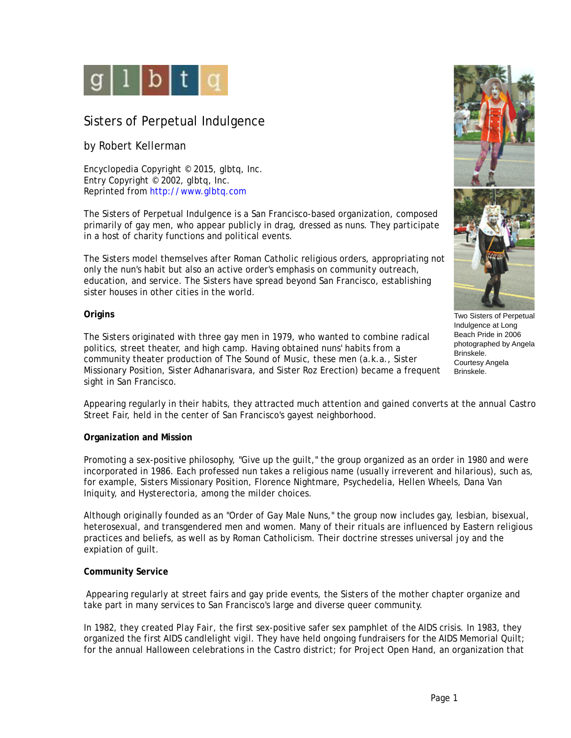

# Sisters of Perpetual Indulgence

# by Robert Kellerman

Encyclopedia Copyright © 2015, glbtq, Inc. Entry Copyright © 2002, glbtq, Inc. Reprinted from<http://www.glbtq.com>

The Sisters of Perpetual Indulgence is a San Francisco-based organization, composed primarily of gay men, who appear publicly in drag, dressed as nuns. They participate in a host of charity functions and political events.

The Sisters model themselves after Roman Catholic religious orders, appropriating not only the nun's habit but also an active order's emphasis on community outreach, education, and service. The Sisters have spread beyond San Francisco, establishing sister houses in other cities in the world.

#### **Origins**

The Sisters originated with three gay men in 1979, who wanted to combine radical politics, street theater, and high camp. Having obtained nuns' habits from a community theater production of *The Sound of Music*, these men (a.k.a., Sister Missionary Position, Sister Adhanarisvara, and Sister Roz Erection) became a frequent sight in San Francisco.



Two Sisters of Perpetual Indulgence at Long Beach Pride in 2006 photographed by Angela Brinskele. Courtesy Angela Brinskele.

Appearing regularly in their habits, they attracted much attention and gained converts at the annual Castro Street Fair, held in the center of San Francisco's gayest neighborhood.

## **Organization and Mission**

Promoting a sex-positive philosophy, "Give up the guilt," the group organized as an order in 1980 and were incorporated in 1986. Each professed nun takes a religious name (usually irreverent and hilarious), such as, for example, Sisters Missionary Position, Florence Nightmare, Psychedelia, Hellen Wheels, Dana Van Iniquity, and Hysterectoria, among the milder choices.

Although originally founded as an "Order of Gay Male Nuns," the group now includes gay, lesbian, bisexual, heterosexual, and transgendered men and women. Many of their rituals are influenced by Eastern religious practices and beliefs, as well as by Roman Catholicism. Their doctrine stresses universal joy and the expiation of guilt.

## **Community Service**

 Appearing regularly at street fairs and gay pride events, the Sisters of the mother chapter organize and take part in many services to San Francisco's large and diverse queer community.

In 1982, they created *Play Fair*, the first sex-positive safer sex pamphlet of the AIDS crisis. In 1983, they organized the first AIDS candlelight vigil. They have held ongoing fundraisers for the AIDS Memorial Quilt; for the annual Halloween celebrations in the Castro district; for Project Open Hand, an organization that